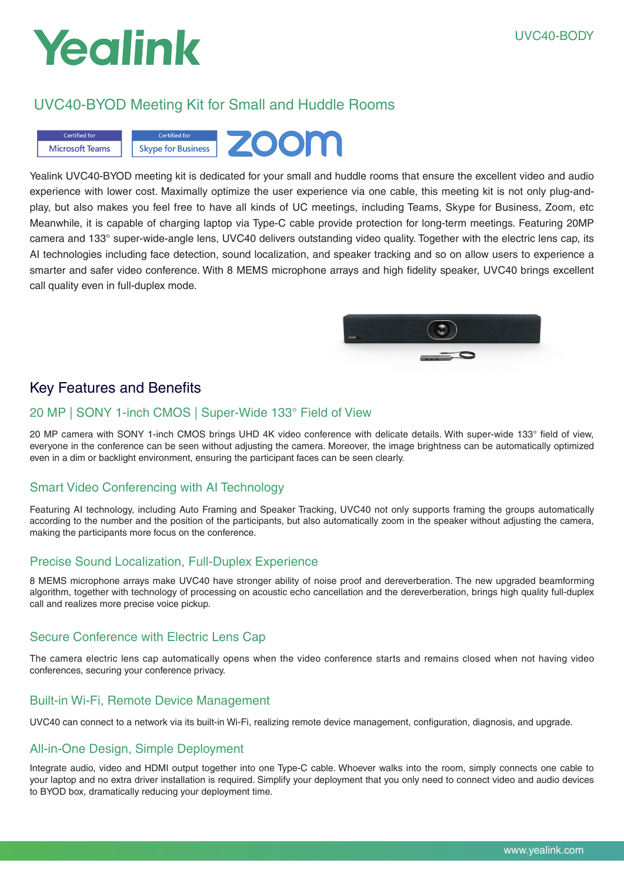# Yealink

# UVC40-BYOD Meeting Kit for Small and Huddle Rooms



Yealink UVC40-BYOD meeting kit is dedicated for your small and huddle rooms that ensure the excellent video and audio experience with lower cost. Maximally optimize the user experience via one cable, this meeting kit is not only plug-andplay, but also makes you feel free to have all kinds of UC meetings, including Teams, Skype for Business, Zoom, etc Meanwhile, it is capable of charging laptop via Type-C cable provide protection for long-term meetings. Featuring 20MP camera and 133° super-wide-angle lens, UVC40 delivers outstanding video quality. Together with the electric lens cap, its AI technologies including face detection, sound localization, and speaker tracking and so on allow users to experience a smarter and safer video conference. With 8 MEMS microphone arrays and high fidelity speaker, UVC40 brings excellent call quality even in full-duplex mode.



# Key Features and Benefits

## 20 MP | SONY 1-inch CMOS | Super-Wide 133° Field of View

20 MP camera with SONY 1-inch CMOS brings UHD 4K video conference with delicate details. With super-wide 133° field of view, everyone in the conference can be seen without adjusting the camera. Moreover, the image brightness can be automatically optimized even in a dim or backlight environment, ensuring the participant faces can be seen clearly.

# Smart Video Conferencing with AI Technology

Featuring AI technology, including Auto Framing and Speaker Tracking, UVC40 not only supports framing the groups automatically according to the number and the position of the participants, but also automatically zoom in the speaker without adjusting the camera, making the participants more focus on the conference.

# Precise Sound Localization, Full-Duplex Experience

8 MEMS microphone arrays make UVC40 have stronger ability of noise proof and dereverberation. The new upgraded beamforming algorithm, together with technology of processing on acoustic echo cancellation and the dereverberation, brings high quality full-duplex call and realizes more precise voice pickup.

# Secure Conference with Electric Lens Cap

The camera electric lens cap automatically opens when the video conference starts and remains closed when not having video conferences, securing your conference privacy.

# Built-in Wi-Fi, Remote Device Management

UVC40 can connect to a network via its built-in Wi-Fi, realizing remote device management, configuration, diagnosis, and upgrade.

# All-in-One Design, Simple Deployment

Integrate audio, video and HDMI output together into one Type-C cable. Whoever walks into the room, simply connects one cable to your laptop and no extra driver installation is required. Simplify your deployment that you only need to connect video and audio devices to BYOD box, dramatically reducing your deployment time.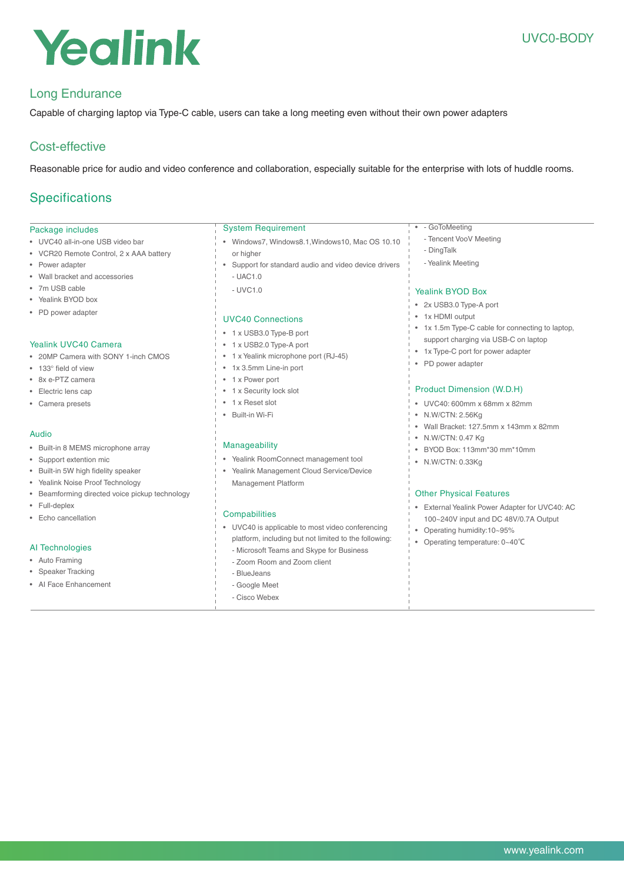# Yealink

# Long Endurance

Capable of charging laptop via Type-C cable, users can take a long meeting even without their own power adapters

# Cost-effective

Reasonable price for audio and video conference and collaboration, especially suitable for the enterprise with lots of huddle rooms.

# **Specifications**

## Package includes

- UVC40 all-in-one USB video bar
- VCR20 Remote Control, 2 x AAA battery
- Power adapter
- Wall bracket and accessories
- 7m USB cable
- Yealink BYOD box
- PD power adapter

#### Yealink UVC40 Camera

- 20MP Camera with SONY 1-inch CMOS
- 133° field of view
- 8x e-PTZ camera
- Electric lens cap
- Camera presets

#### Audio

- Built-in 8 MEMS microphone array
- Support extention mic
- Built-in 5W high fidelity speaker
- Yealink Noise Proof Technology
- Beamforming directed voice pickup technology
- Full-deplex
- Echo cancellation

## AI Technologies

- Auto Framing
- Speaker Tracking
- AI Face Enhancement

## System Requirement

- Windows7, Windows8.1,Windows10, Mac OS 10.10 or higher
- Support for standard audio and video device drivers
- UAC1.0
	- $-$  UVC1.0

## UVC40 Connections

- 1 x USB3.0 Type-B port
- 1 x USB2.0 Type-A port
- 1 x Yealink microphone port (RJ-45)
- 1x 3.5mm Line-in port
- 1 x Power port
- 1 x Security lock slot
- 1 x Reset slot
- Built-in Wi-Fi

#### Manageability

- Yealink RoomConnect management tool
- Yealink Management Cloud Service/Device Management Platform

#### **Compabilities**

- UVC40 is applicable to most video conferencing platform, including but not limited to the following:
	- Zoom Room and Zoom client
	-
	-
- 
- Cisco Webex

#### • - GoToMeeting

- Tencent VooV Meeting
- DingTalk
- Yealink Meeting

## Yealink BYOD Box

- 2x USB3.0 Type-A port
- 1x HDMI output
- 1x 1.5m Type-C cable for connecting to laptop, support charging via USB-C on laptop
- 1x Type-C port for power adapter
- PD power adapter

#### Product Dimension (W.D.H)

- UVC40: 600mm x 68mm x 82mm
- N.W/CTN: 2.56Kg
- Wall Bracket: 127.5mm x 143mm x 82mm
- N.W/CTN: 0.47 Kg
- BYOD Box: 113mm\*30 mm\*10mm
- N.W/CTN: 0.33Kg

#### Other Physical Features

- External Yealink Power Adapter for UVC40: AC 100~240V input and DC 48V/0.7A Output
- Operating humidity:10~95%
- Operating temperature: 0~40℃
- Microsoft Teams and Skype for Business - BlueJeans
	- Google Meet
	-